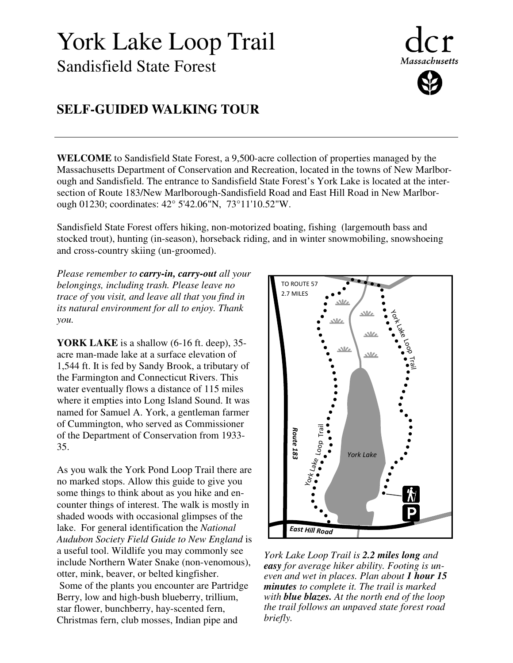## York Lake Loop Trail Sandisfield State Forest

# **Massachusetts**

## **SELF-GUIDED WALKING TOUR**

**WELCOME** to Sandisfield State Forest, a 9,500-acre collection of properties managed by the Massachusetts Department of Conservation and Recreation, located in the towns of New Marlborough and Sandisfield. The entrance to Sandisfield State Forest's York Lake is located at the intersection of Route 183/New Marlborough-Sandisfield Road and East Hill Road in New Marlborough 01230; coordinates: 42° 5'42.06"N, 73°11'10.52"W.

Sandisfield State Forest offers hiking, non-motorized boating, fishing (largemouth bass and stocked trout), hunting (in-season), horseback riding, and in winter snowmobiling, snowshoeing and cross-country skiing (un-groomed).

*Please remember to carry-in, carry-out all your belongings, including trash. Please leave no trace of you visit, and leave all that you find in its natural environment for all to enjoy. Thank you.* 

**YORK LAKE** is a shallow (6-16 ft. deep), 35 acre man-made lake at a surface elevation of 1,544 ft. It is fed by Sandy Brook, a tributary of the Farmington and Connecticut Rivers. This water eventually flows a distance of 115 miles where it empties into Long Island Sound. It was named for Samuel A. York, a gentleman farmer of Cummington, who served as Commissioner of the Department of Conservation from 1933- 35.

As you walk the York Pond Loop Trail there are no marked stops. Allow this guide to give you some things to think about as you hike and encounter things of interest. The walk is mostly in shaded woods with occasional glimpses of the lake. For general identification the *National Audubon Society Field Guide to New England* is a useful tool. Wildlife you may commonly see include Northern Water Snake (non-venomous), otter, mink, beaver, or belted kingfisher. Some of the plants you encounter are Partridge Berry, low and high-bush blueberry, trillium, star flower, bunchberry, hay-scented fern, Christmas fern, club mosses, Indian pipe and



*York Lake Loop Trail is 2.2 miles long and easy for average hiker ability. Footing is uneven and wet in places. Plan about 1 hour 15 minutes to complete it. The trail is marked with blue blazes. At the north end of the loop the trail follows an unpaved state forest road briefly.*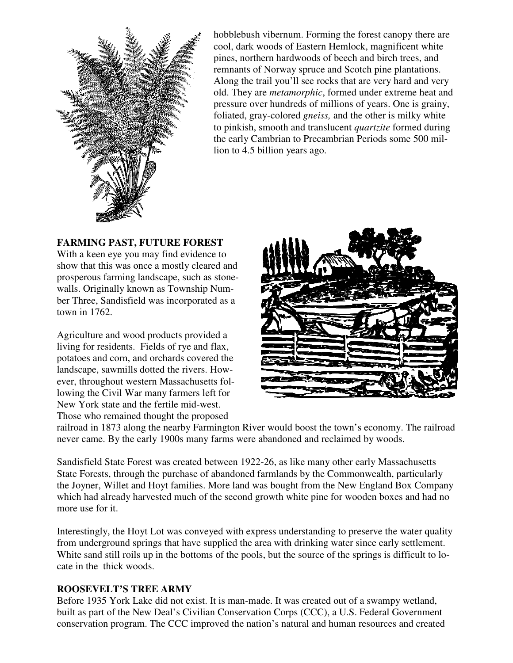

hobblebush vibernum. Forming the forest canopy there are cool, dark woods of Eastern Hemlock, magnificent white pines, northern hardwoods of beech and birch trees, and remnants of Norway spruce and Scotch pine plantations. Along the trail you'll see rocks that are very hard and very old. They are *metamorphic*, formed under extreme heat and pressure over hundreds of millions of years. One is grainy, foliated, gray-colored *gneiss,* and the other is milky white to pinkish, smooth and translucent *quartzite* formed during the early Cambrian to Precambrian Periods some 500 million to 4.5 billion years ago.

### **FARMING PAST, FUTURE FOREST**

With a keen eye you may find evidence to show that this was once a mostly cleared and prosperous farming landscape, such as stonewalls. Originally known as Township Number Three, Sandisfield was incorporated as a town in 1762.

Agriculture and wood products provided a living for residents. Fields of rye and flax, potatoes and corn, and orchards covered the landscape, sawmills dotted the rivers. However, throughout western Massachusetts following the Civil War many farmers left for New York state and the fertile mid-west. Those who remained thought the proposed



railroad in 1873 along the nearby Farmington River would boost the town's economy. The railroad never came. By the early 1900s many farms were abandoned and reclaimed by woods.

Sandisfield State Forest was created between 1922-26, as like many other early Massachusetts State Forests, through the purchase of abandoned farmlands by the Commonwealth, particularly the Joyner, Willet and Hoyt families. More land was bought from the New England Box Company which had already harvested much of the second growth white pine for wooden boxes and had no more use for it.

Interestingly, the Hoyt Lot was conveyed with express understanding to preserve the water quality from underground springs that have supplied the area with drinking water since early settlement. White sand still roils up in the bottoms of the pools, but the source of the springs is difficult to locate in the thick woods.

#### **ROOSEVELT'S TREE ARMY**

Before 1935 York Lake did not exist. It is man-made. It was created out of a swampy wetland, built as part of the New Deal's Civilian Conservation Corps (CCC), a U.S. Federal Government conservation program. The CCC improved the nation's natural and human resources and created